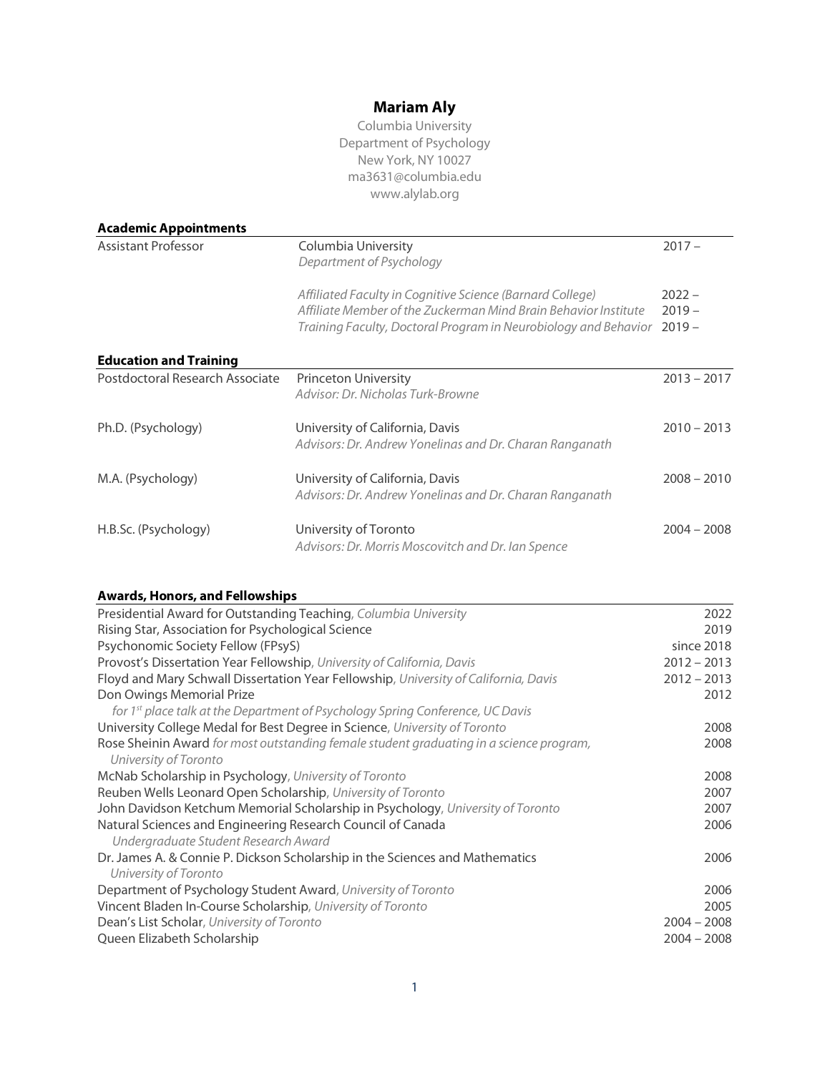# **Mariam Aly**

| Columbia University      |
|--------------------------|
| Department of Psychology |
| New York, NY 10027       |
| ma3631@columbia.edu      |
| www.alylab.org           |

| <b>Academic Appointments</b>    |                                                                                                                                                                                                 |                                  |
|---------------------------------|-------------------------------------------------------------------------------------------------------------------------------------------------------------------------------------------------|----------------------------------|
| <b>Assistant Professor</b>      | Columbia University<br>Department of Psychology                                                                                                                                                 | $2017 -$                         |
|                                 | Affiliated Faculty in Cognitive Science (Barnard College)<br>Affiliate Member of the Zuckerman Mind Brain Behavior Institute<br>Training Faculty, Doctoral Program in Neurobiology and Behavior | $2022 -$<br>$2019 -$<br>$2019 -$ |
| <b>Education and Training</b>   |                                                                                                                                                                                                 |                                  |
| Postdoctoral Research Associate | <b>Princeton University</b><br>Advisor: Dr. Nicholas Turk-Browne                                                                                                                                | $2013 - 2017$                    |
| Ph.D. (Psychology)              | University of California, Davis<br>Advisors: Dr. Andrew Yonelinas and Dr. Charan Ranganath                                                                                                      | $2010 - 2013$                    |
| M.A. (Psychology)               | University of California, Davis<br>Advisors: Dr. Andrew Yonelinas and Dr. Charan Ranganath                                                                                                      | $2008 - 2010$                    |
| H.B.Sc. (Psychology)            | University of Toronto<br>Advisors: Dr. Morris Moscovitch and Dr. Ian Spence                                                                                                                     | $2004 - 2008$                    |

## **Awards, Honors, and Fellowships**

| Presidential Award for Outstanding Teaching, Columbia University                                                 | 2022          |
|------------------------------------------------------------------------------------------------------------------|---------------|
| Rising Star, Association for Psychological Science                                                               | 2019          |
| Psychonomic Society Fellow (FPsyS)                                                                               | since 2018    |
| Provost's Dissertation Year Fellowship, University of California, Davis                                          | $2012 - 2013$ |
| Floyd and Mary Schwall Dissertation Year Fellowship, University of California, Davis                             | $2012 - 2013$ |
| Don Owings Memorial Prize                                                                                        | 2012          |
| for 1st place talk at the Department of Psychology Spring Conference, UC Davis                                   |               |
| University College Medal for Best Degree in Science, University of Toronto                                       | 2008          |
| Rose Sheinin Award for most outstanding female student graduating in a science program,<br>University of Toronto | 2008          |
| McNab Scholarship in Psychology, University of Toronto                                                           | 2008          |
| Reuben Wells Leonard Open Scholarship, University of Toronto                                                     | 2007          |
| John Davidson Ketchum Memorial Scholarship in Psychology, University of Toronto                                  | 2007          |
| Natural Sciences and Engineering Research Council of Canada<br>Undergraduate Student Research Award              | 2006          |
| Dr. James A. & Connie P. Dickson Scholarship in the Sciences and Mathematics<br>University of Toronto            | 2006          |
| Department of Psychology Student Award, University of Toronto                                                    | 2006          |
| Vincent Bladen In-Course Scholarship, University of Toronto                                                      | 2005          |
| Dean's List Scholar, University of Toronto                                                                       | $2004 - 2008$ |
| Queen Elizabeth Scholarship                                                                                      | $2004 - 2008$ |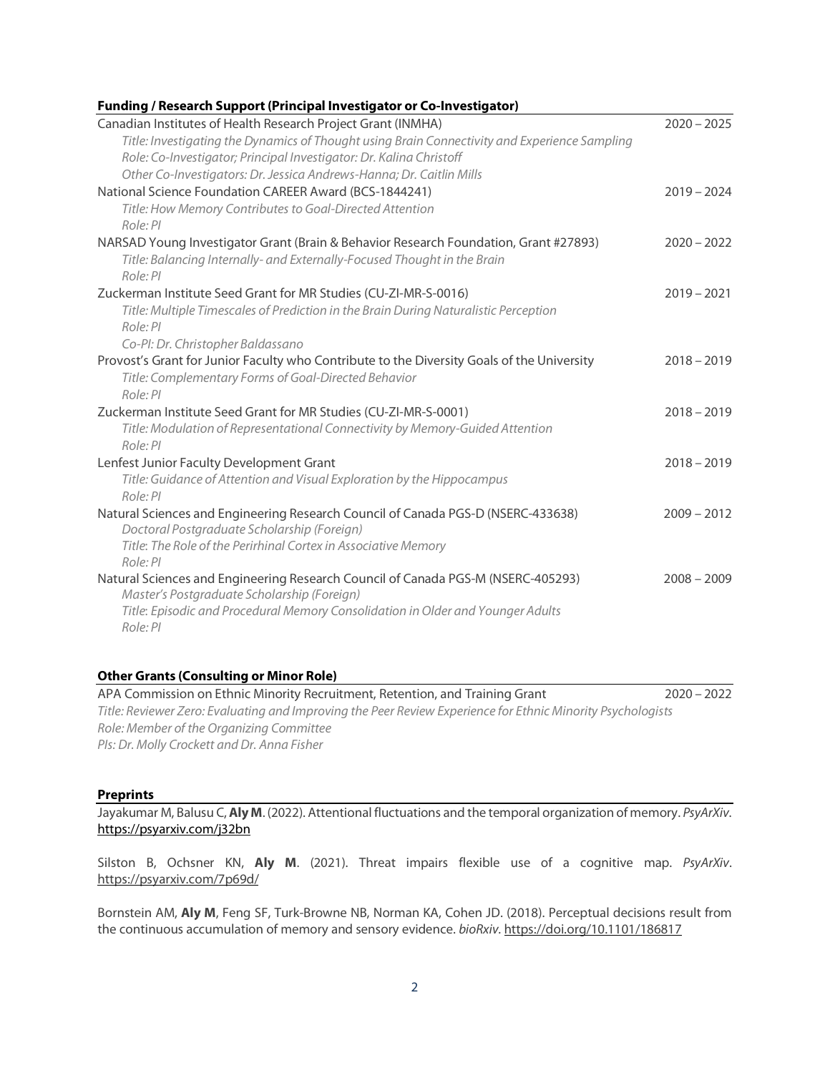## **Funding / Research Support(Principal Investigator or Co-Investigator)**

| Canadian Institutes of Health Research Project Grant (INMHA)                                  | $2020 - 2025$ |
|-----------------------------------------------------------------------------------------------|---------------|
| Title: Investigating the Dynamics of Thought using Brain Connectivity and Experience Sampling |               |
| Role: Co-Investigator; Principal Investigator: Dr. Kalina Christoff                           |               |
| Other Co-Investigators: Dr. Jessica Andrews-Hanna; Dr. Caitlin Mills                          |               |
| National Science Foundation CAREER Award (BCS-1844241)                                        | $2019 - 2024$ |
| Title: How Memory Contributes to Goal-Directed Attention                                      |               |
| Role: PI                                                                                      |               |
| NARSAD Young Investigator Grant (Brain & Behavior Research Foundation, Grant #27893)          | $2020 - 2022$ |
| Title: Balancing Internally- and Externally-Focused Thought in the Brain                      |               |
| Role: PI                                                                                      |               |
| Zuckerman Institute Seed Grant for MR Studies (CU-ZI-MR-S-0016)                               | $2019 - 2021$ |
| Title: Multiple Timescales of Prediction in the Brain During Naturalistic Perception          |               |
| Role: PI                                                                                      |               |
| Co-PI: Dr. Christopher Baldassano                                                             |               |
| Provost's Grant for Junior Faculty who Contribute to the Diversity Goals of the University    | $2018 - 2019$ |
| Title: Complementary Forms of Goal-Directed Behavior                                          |               |
| Role: PI                                                                                      |               |
| Zuckerman Institute Seed Grant for MR Studies (CU-ZI-MR-S-0001)                               | $2018 - 2019$ |
| Title: Modulation of Representational Connectivity by Memory-Guided Attention                 |               |
| Role: PI                                                                                      |               |
| Lenfest Junior Faculty Development Grant                                                      | $2018 - 2019$ |
| Title: Guidance of Attention and Visual Exploration by the Hippocampus                        |               |
| Role: PI                                                                                      |               |
| Natural Sciences and Engineering Research Council of Canada PGS-D (NSERC-433638)              | $2009 - 2012$ |
| Doctoral Postgraduate Scholarship (Foreign)                                                   |               |
| Title: The Role of the Perirhinal Cortex in Associative Memory                                |               |
| Role: PI                                                                                      |               |
| Natural Sciences and Engineering Research Council of Canada PGS-M (NSERC-405293)              | $2008 - 2009$ |
| Master's Postgraduate Scholarship (Foreign)                                                   |               |
| Title: Episodic and Procedural Memory Consolidation in Older and Younger Adults               |               |
| Role: PI                                                                                      |               |
|                                                                                               |               |

#### **Other Grants (Consulting or Minor Role)**

APA Commission on Ethnic Minority Recruitment, Retention, and Training Grant 2020 – 2022 *Title: Reviewer Zero: Evaluating and Improving the Peer Review Experience for Ethnic Minority Psychologists Role: Member of the Organizing Committee PIs: Dr. Molly Crockett and Dr. Anna Fisher*

#### **Preprints**

Jayakumar M, Balusu C,**Aly M**. (2022). Attentional fluctuations and the temporal organization of memory. *PsyArXiv*. https://psyarxiv.com/j32bn

Silston B, Ochsner KN, **Aly M**. (2021). Threat impairs flexible use of a cognitive map. *PsyArXiv*. https://psyarxiv.com/7p69d/

Bornstein AM, **Aly M**, Feng SF, Turk-Browne NB, Norman KA, Cohen JD. (2018). Perceptual decisions result from the continuous accumulation of memory and sensory evidence. *bioRxiv.* https://doi.org/10.1101/186817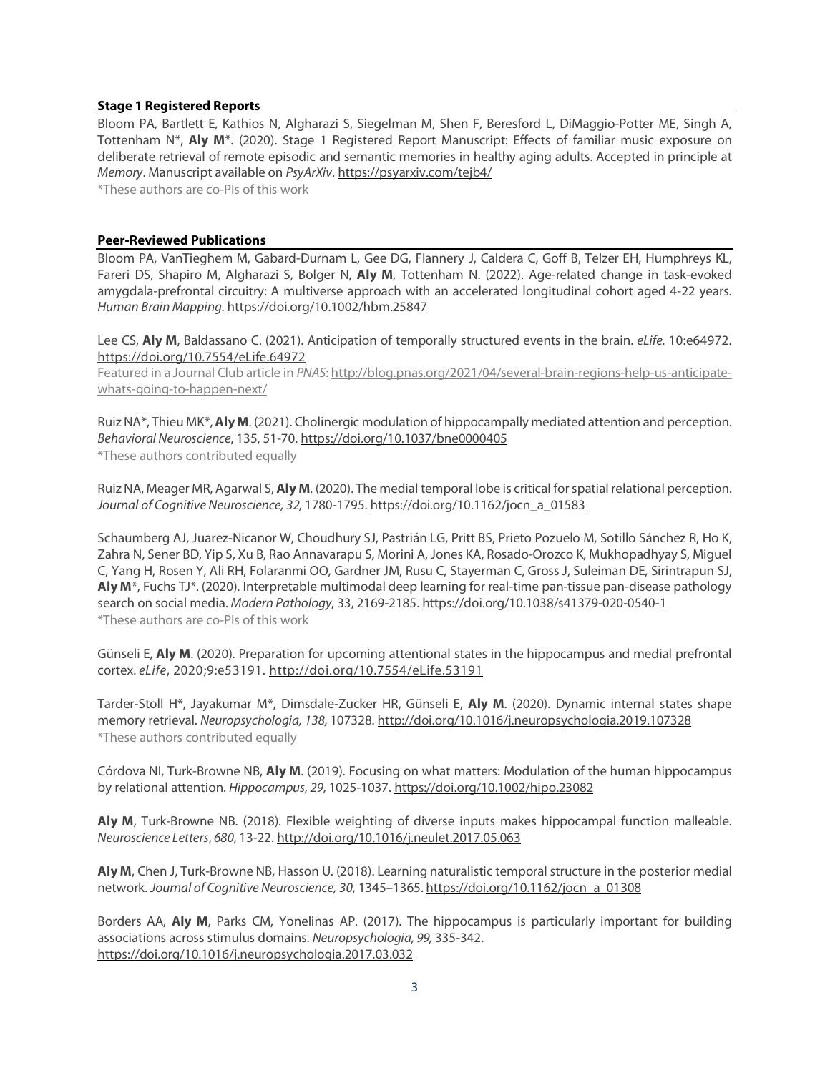#### **Stage 1 Registered Reports**

Bloom PA, Bartlett E, Kathios N, Algharazi S, Siegelman M, Shen F, Beresford L, DiMaggio-Potter ME, Singh A, Tottenham N\*, **Aly M**\*. (2020). Stage 1 Registered Report Manuscript: Effects of familiar music exposure on deliberate retrieval of remote episodic and semantic memories in healthy aging adults. Accepted in principle at *Memory*. Manuscript available on *PsyArXiv*. https://psyarxiv.com/tejb4/

\*These authors are co-PIs of this work

#### **Peer-Reviewed Publications**

Bloom PA, VanTieghem M, Gabard-Durnam L, Gee DG, Flannery J, Caldera C, Goff B, Telzer EH, Humphreys KL, Fareri DS, Shapiro M, Algharazi S, Bolger N, **Aly M**, Tottenham N. (2022). Age-related change in task-evoked amygdala-prefrontal circuitry: A multiverse approach with an accelerated longitudinal cohort aged 4-22 years. *Human Brain Mapping*. https://doi.org/10.1002/hbm.25847

Lee CS, **Aly M**, Baldassano C. (2021). Anticipation of temporally structured events in the brain. *eLife*. 10:e64972. https://doi.org/10.7554/eLife.64972

Featured in a Journal Club article in *PNAS*: http://blog.pnas.org/2021/04/several-brain-regions-help-us-anticipatewhats-going-to-happen-next/

Ruiz NA\*, Thieu MK\*,**Aly M**. (2021). Cholinergic modulation of hippocampally mediated attention and perception. *Behavioral Neuroscience*, 135, 51-70. https://doi.org/10.1037/bne0000405 \*These authors contributed equally

Ruiz NA, Meager MR, Agarwal S, **Aly M**. (2020). The medial temporal lobe is critical forspatial relational perception. *Journal of Cognitive Neuroscience, 32,* 1780-1795. https://doi.org/10.1162/jocn\_a\_01583

Schaumberg AJ, Juarez-Nicanor W, Choudhury SJ, Pastrián LG, Pritt BS, Prieto Pozuelo M, Sotillo Sánchez R, Ho K, Zahra N, Sener BD, Yip S, Xu B, Rao Annavarapu S, Morini A, Jones KA, Rosado-Orozco K, Mukhopadhyay S, Miguel C, Yang H, Rosen Y, Ali RH, Folaranmi OO, Gardner JM, Rusu C, Stayerman C, Gross J, Suleiman DE, Sirintrapun SJ, **Aly M**\*, Fuchs TJ\*. (2020). Interpretable multimodal deep learning for real-time pan-tissue pan-disease pathology search on social media. *Modern Pathology*, 33, 2169-2185. https://doi.org/10.1038/s41379-020-0540-1 \*These authors are co-PIs of this work

Günseli E, **Aly M**. (2020). Preparation for upcoming attentional states in the hippocampus and medial prefrontal cortex. *eLife*, 2020;9:e53191. http://doi.org/10.7554/eLife.53191

Tarder-Stoll H\*, Jayakumar M\*, Dimsdale-Zucker HR, Günseli E, **Aly M**. (2020). Dynamic internal states shape memory retrieval. *Neuropsychologia, 138,* 107328*.* http://doi.org/10.1016/j.neuropsychologia.2019.107328 \*These authors contributed equally

Córdova NI, Turk-Browne NB, **Aly M**. (2019). Focusing on what matters: Modulation of the human hippocampus by relational attention. *Hippocampus, 29,* 1025-1037. https://doi.org/10.1002/hipo.23082

**Aly M**, Turk-Browne NB. (2018). Flexible weighting of diverse inputs makes hippocampal function malleable. *Neuroscience Letters*, *680,* 13-22. http://doi.org/10.1016/j.neulet.2017.05.063

**Aly M**, Chen J, Turk-Browne NB, Hasson U. (2018). Learning naturalistic temporalstructure in the posterior medial network. *Journal of Cognitive Neuroscience, 30*, 1345–1365. https://doi.org/10.1162/jocn\_a\_01308

Borders AA, **Aly M**, Parks CM, Yonelinas AP. (2017). The hippocampus is particularly important for building associations across stimulus domains. *Neuropsychologia, 99,* 335-342. https://doi.org/10.1016/j.neuropsychologia.2017.03.032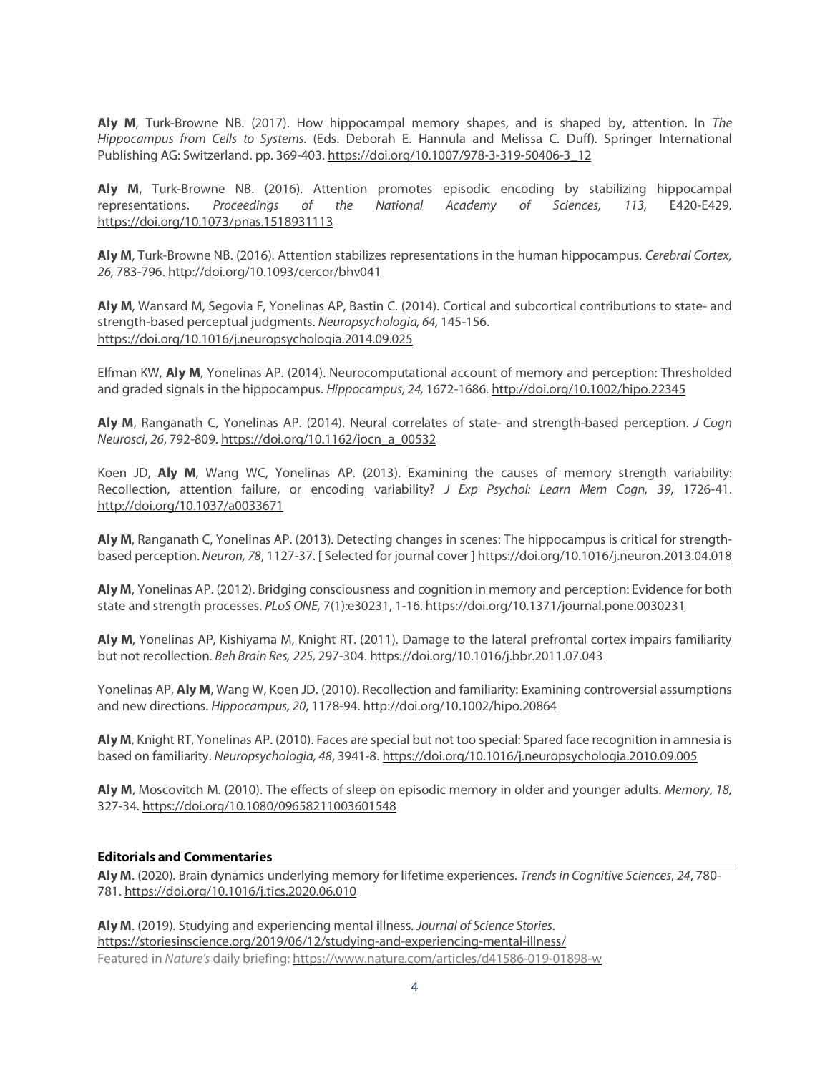**Aly M**, Turk-Browne NB. (2017). How hippocampal memory shapes, and is shaped by, attention. In *The Hippocampus from Cells to Systems.* (Eds. Deborah E. Hannula and Melissa C. Duff). Springer International Publishing AG: Switzerland. pp. 369-403. https://doi.org/10.1007/978-3-319-50406-3\_12

**Aly M**, Turk-Browne NB. (2016). Attention promotes episodic encoding by stabilizing hippocampal representations. *Proceedings of the National Academy of Sciences, 113,* E420-E429. https://doi.org/10.1073/pnas.1518931113

**Aly M**, Turk-Browne NB. (2016). Attention stabilizes representations in the human hippocampus. *Cerebral Cortex, 26,* 783-796. http://doi.org/10.1093/cercor/bhv041

**Aly M**, Wansard M, Segovia F, Yonelinas AP, Bastin C. (2014). Cortical and subcortical contributions to state- and strength-based perceptual judgments. *Neuropsychologia, 64,* 145-156. https://doi.org/10.1016/j.neuropsychologia.2014.09.025

Elfman KW, **Aly M**, Yonelinas AP. (2014). Neurocomputational account of memory and perception: Thresholded and graded signals in the hippocampus. *Hippocampus, 24,* 1672-1686. http://doi.org/10.1002/hipo.22345

**Aly M**, Ranganath C, Yonelinas AP. (2014). Neural correlates of state- and strength-based perception. *J Cogn Neurosci*, *26*, 792-809. https://doi.org/10.1162/jocn\_a\_00532

Koen JD, **Aly M**, Wang WC, Yonelinas AP. (2013). Examining the causes of memory strength variability: Recollection, attention failure, or encoding variability? *J Exp Psychol: Learn Mem Cogn, 39*, 1726-41. http://doi.org/10.1037/a0033671

**Aly M**, Ranganath C, Yonelinas AP. (2013). Detecting changes in scenes: The hippocampus is critical for strengthbased perception. *Neuron, 78*, 1127-37. [ Selected for journal cover ] https://doi.org/10.1016/j.neuron.2013.04.018

**Aly M**, Yonelinas AP. (2012). Bridging consciousness and cognition in memory and perception: Evidence for both state and strength processes. *PLoS ONE,* 7(1):e30231, 1-16. https://doi.org/10.1371/journal.pone.0030231

**Aly M**, Yonelinas AP, Kishiyama M, Knight RT. (2011). Damage to the lateral prefrontal cortex impairs familiarity but not recollection. *Beh Brain Res, 225,* 297-304. https://doi.org/10.1016/j.bbr.2011.07.043

Yonelinas AP, **Aly M**, Wang W, Koen JD. (2010). Recollection and familiarity: Examining controversial assumptions and new directions. *Hippocampus, 20*, 1178-94. http://doi.org/10.1002/hipo.20864

**Aly M**, Knight RT, Yonelinas AP. (2010). Faces are special but not too special: Spared face recognition in amnesia is based on familiarity. *Neuropsychologia, 48*, 3941-8. https://doi.org/10.1016/j.neuropsychologia.2010.09.005

**Aly M**, Moscovitch M. (2010). The effects of sleep on episodic memory in older and younger adults. *Memory, 18,* 327-34. https://doi.org/10.1080/09658211003601548

### **Editorials and Commentaries**

**Aly M**. (2020). Brain dynamics underlying memory for lifetime experiences. *Trendsin Cognitive Sciences*, *24*, 780- 781. https://doi.org/10.1016/j.tics.2020.06.010

**Aly M**. (2019). Studying and experiencing mental illness. *Journal of Science Stories*. https://storiesinscience.org/2019/06/12/studying-and-experiencing-mental-illness/ Featured in *Nature's* daily briefing: https://www.nature.com/articles/d41586-019-01898-w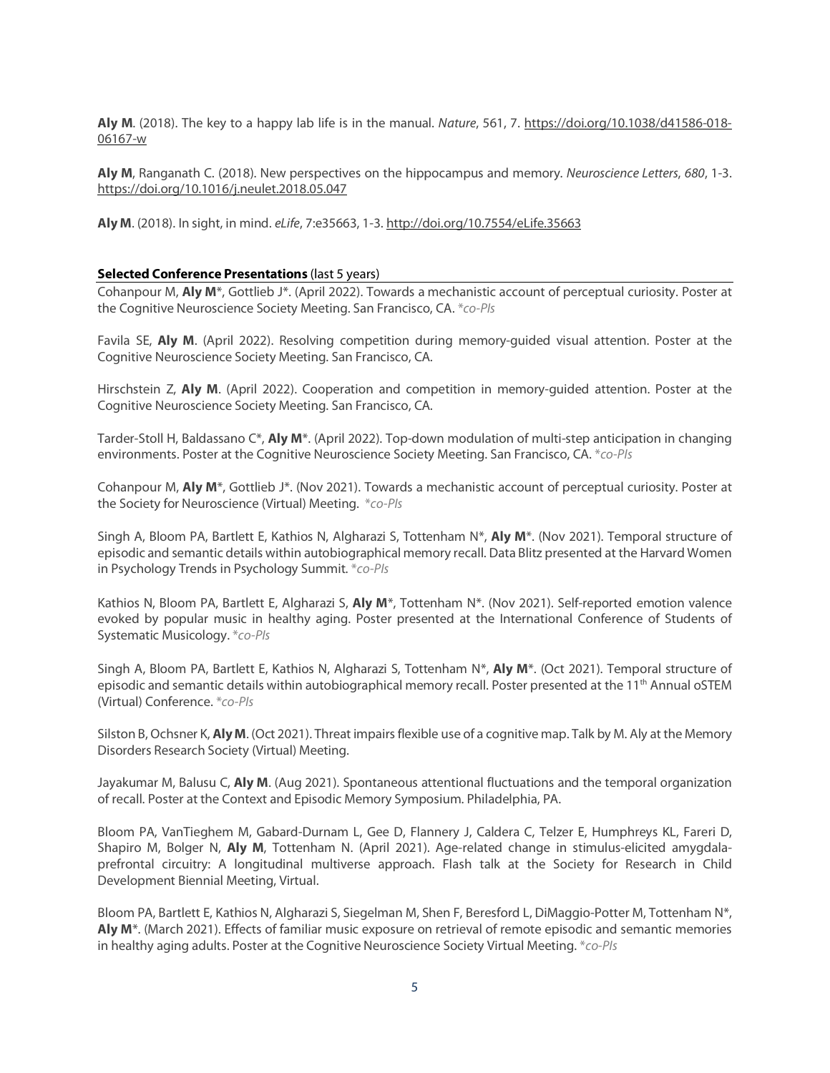**Aly M**. (2018). The key to a happy lab life is in the manual. *Nature*, 561, 7. https://doi.org/10.1038/d41586-018- 06167-w

**Aly M**, Ranganath C. (2018). New perspectives on the hippocampus and memory. *Neuroscience Letters*, *680*, 1-3. https://doi.org/10.1016/j.neulet.2018.05.047

**Aly M**. (2018). In sight, in mind. *eLife*, 7:e35663, 1-3. http://doi.org/10.7554/eLife.35663

#### **Selected Conference Presentations** (last 5 years)

Cohanpour M, **Aly M**\*, Gottlieb J\*. (April 2022). Towards a mechanistic account of perceptual curiosity. Poster at the Cognitive Neuroscience Society Meeting. San Francisco, CA. \**co-PIs*

Favila SE, **Aly M**. (April 2022). Resolving competition during memory-guided visual attention. Poster at the Cognitive Neuroscience Society Meeting. San Francisco, CA.

Hirschstein Z, **Aly M**. (April 2022). Cooperation and competition in memory-guided attention. Poster at the Cognitive Neuroscience Society Meeting. San Francisco, CA.

Tarder-Stoll H, Baldassano C\*, **Aly M**\*. (April 2022). Top-down modulation of multi-step anticipation in changing environments. Poster at the Cognitive Neuroscience Society Meeting. San Francisco, CA. \**co-PIs*

Cohanpour M, **Aly M**\*, Gottlieb J\*. (Nov 2021). Towards a mechanistic account of perceptual curiosity. Poster at the Society for Neuroscience (Virtual) Meeting. \**co-PIs*

Singh A, Bloom PA, Bartlett E, Kathios N, Algharazi S, Tottenham N\*, **Aly M**\*. (Nov 2021). Temporal structure of episodic and semantic details within autobiographical memory recall. Data Blitz presented at the Harvard Women in Psychology Trends in Psychology Summit. \**co-PIs*

Kathios N, Bloom PA, Bartlett E, Algharazi S, **Aly M**\*, Tottenham N\*. (Nov 2021). Self-reported emotion valence evoked by popular music in healthy aging. Poster presented at the International Conference of Students of Systematic Musicology. \**co-PIs*

Singh A, Bloom PA, Bartlett E, Kathios N, Algharazi S, Tottenham N\*, **Aly M**\*. (Oct 2021). Temporal structure of episodic and semantic details within autobiographical memory recall. Poster presented at the 11<sup>th</sup> Annual oSTEM (Virtual) Conference. \**co-PIs*

Silston B, Ochsner K, **Aly M**. (Oct 2021). Threat impairs flexible use of a cognitive map. Talk by M. Aly at the Memory Disorders Research Society (Virtual) Meeting.

Jayakumar M, Balusu C, **Aly M**. (Aug 2021). Spontaneous attentional fluctuations and the temporal organization of recall. Poster at the Context and Episodic Memory Symposium. Philadelphia, PA.

Bloom PA, VanTieghem M, Gabard-Durnam L, Gee D, Flannery J, Caldera C, Telzer E, Humphreys KL, Fareri D, Shapiro M, Bolger N, **Aly M**, Tottenham N. (April 2021). Age-related change in stimulus-elicited amygdalaprefrontal circuitry: A longitudinal multiverse approach. Flash talk at the Society for Research in Child Development Biennial Meeting, Virtual.

Bloom PA, Bartlett E, Kathios N, Algharazi S, Siegelman M, Shen F, Beresford L, DiMaggio-Potter M, Tottenham N\*, **Aly M**\*. (March 2021). Effects of familiar music exposure on retrieval of remote episodic and semantic memories in healthy aging adults. Poster at the Cognitive Neuroscience Society Virtual Meeting. \**co-PIs*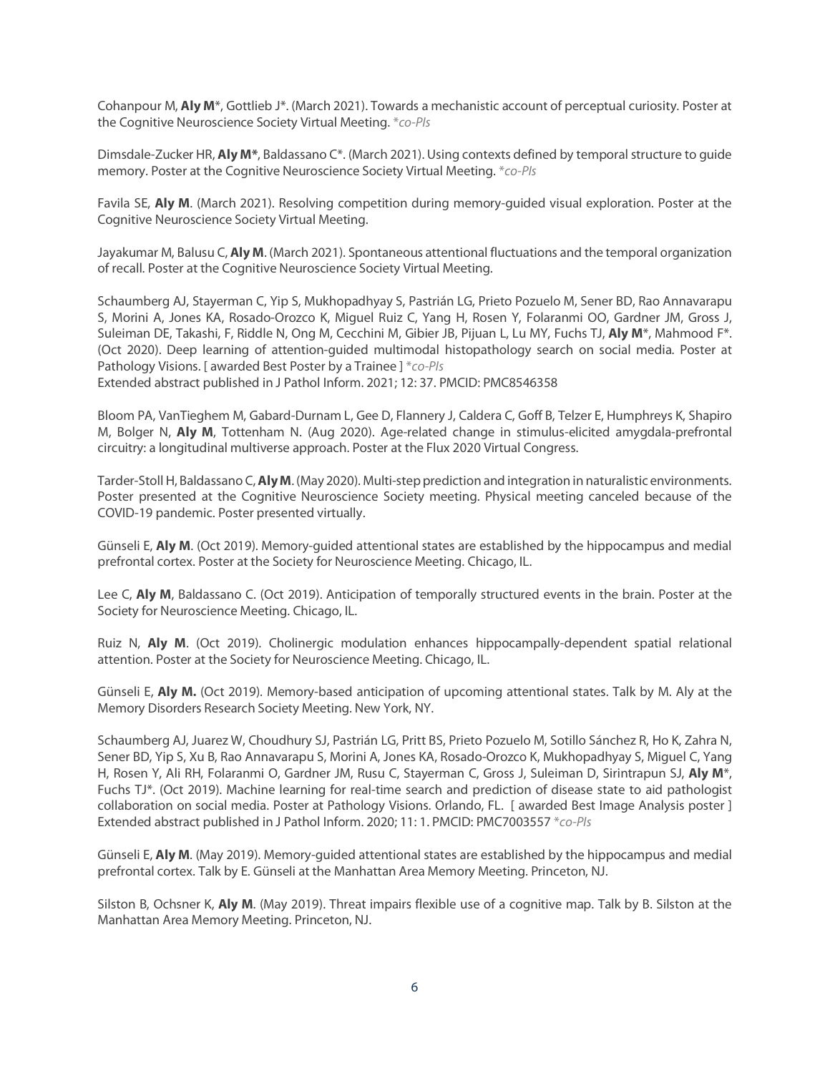Cohanpour M, **Aly M**\*, Gottlieb J\*. (March 2021). Towards a mechanistic account of perceptual curiosity. Poster at the Cognitive Neuroscience Society Virtual Meeting. \**co-PIs*

Dimsdale-Zucker HR, Aly M<sup>\*</sup>, Baldassano C<sup>\*</sup>. (March 2021). Using contexts defined by temporal structure to guide memory. Poster at the Cognitive Neuroscience Society Virtual Meeting. \**co-PIs*

Favila SE, **Aly M**. (March 2021). Resolving competition during memory-guided visual exploration. Poster at the Cognitive Neuroscience Society Virtual Meeting.

Jayakumar M, Balusu C, **Aly M**. (March 2021). Spontaneous attentional fluctuations and the temporal organization of recall. Poster at the Cognitive Neuroscience Society Virtual Meeting.

Schaumberg AJ, Stayerman C, Yip S, Mukhopadhyay S, Pastrián LG, Prieto Pozuelo M, Sener BD, Rao Annavarapu S, Morini A, Jones KA, Rosado-Orozco K, Miguel Ruiz C, Yang H, Rosen Y, Folaranmi OO, Gardner JM, Gross J, Suleiman DE, Takashi, F, Riddle N, Ong M, Cecchini M, Gibier JB, Pijuan L, Lu MY, Fuchs TJ, **Aly M**\*, Mahmood F\*. (Oct 2020). Deep learning of attention-guided multimodal histopathology search on social media. Poster at Pathology Visions. [ awarded Best Poster by a Trainee ] \**co-PIs*

Extended abstract published in J Pathol Inform. 2021; 12: 37. PMCID: PMC8546358

Bloom PA, VanTieghem M, Gabard-Durnam L, Gee D, Flannery J, Caldera C, Goff B, Telzer E, Humphreys K, Shapiro M, Bolger N, **Aly M**, Tottenham N. (Aug 2020). Age-related change in stimulus-elicited amygdala-prefrontal circuitry: a longitudinal multiverse approach. Poster at the Flux 2020 Virtual Congress.

Tarder-Stoll H, Baldassano C,**AlyM**. (May 2020). Multi-step prediction and integration in naturalistic environments. Poster presented at the Cognitive Neuroscience Society meeting. Physical meeting canceled because of the COVID-19 pandemic. Poster presented virtually.

Günseli E, **Aly M**. (Oct 2019). Memory-guided attentional states are established by the hippocampus and medial prefrontal cortex. Poster at the Society for Neuroscience Meeting. Chicago, IL.

Lee C, **Aly M**, Baldassano C. (Oct 2019). Anticipation of temporally structured events in the brain. Poster at the Society for Neuroscience Meeting. Chicago, IL.

Ruiz N, **Aly M**. (Oct 2019). Cholinergic modulation enhances hippocampally-dependent spatial relational attention. Poster at the Society for Neuroscience Meeting. Chicago, IL.

Günseli E, **Aly M.** (Oct 2019). Memory-based anticipation of upcoming attentional states. Talk by M. Aly at the Memory Disorders Research Society Meeting. New York, NY.

Schaumberg AJ, Juarez W, Choudhury SJ, Pastrián LG, Pritt BS, Prieto Pozuelo M, Sotillo Sánchez R, Ho K, Zahra N, Sener BD, Yip S, Xu B, Rao Annavarapu S, Morini A, Jones KA, Rosado-Orozco K, Mukhopadhyay S, Miguel C, Yang H, Rosen Y, Ali RH, Folaranmi O, Gardner JM, Rusu C, Stayerman C, Gross J, Suleiman D, Sirintrapun SJ, **Aly M**\*, Fuchs TJ\*. (Oct 2019). Machine learning for real-time search and prediction of disease state to aid pathologist collaboration on social media. Poster at Pathology Visions. Orlando, FL. [ awarded Best Image Analysis poster ] Extended abstract published in J Pathol Inform. 2020; 11: 1. PMCID: PMC7003557 \**co-PIs*

Günseli E, **Aly M**. (May 2019). Memory-guided attentional states are established by the hippocampus and medial prefrontal cortex. Talk by E. Günseli at the Manhattan Area Memory Meeting. Princeton, NJ.

Silston B, Ochsner K, **Aly M**. (May 2019). Threat impairs flexible use of a cognitive map. Talk by B. Silston at the Manhattan Area Memory Meeting. Princeton, NJ.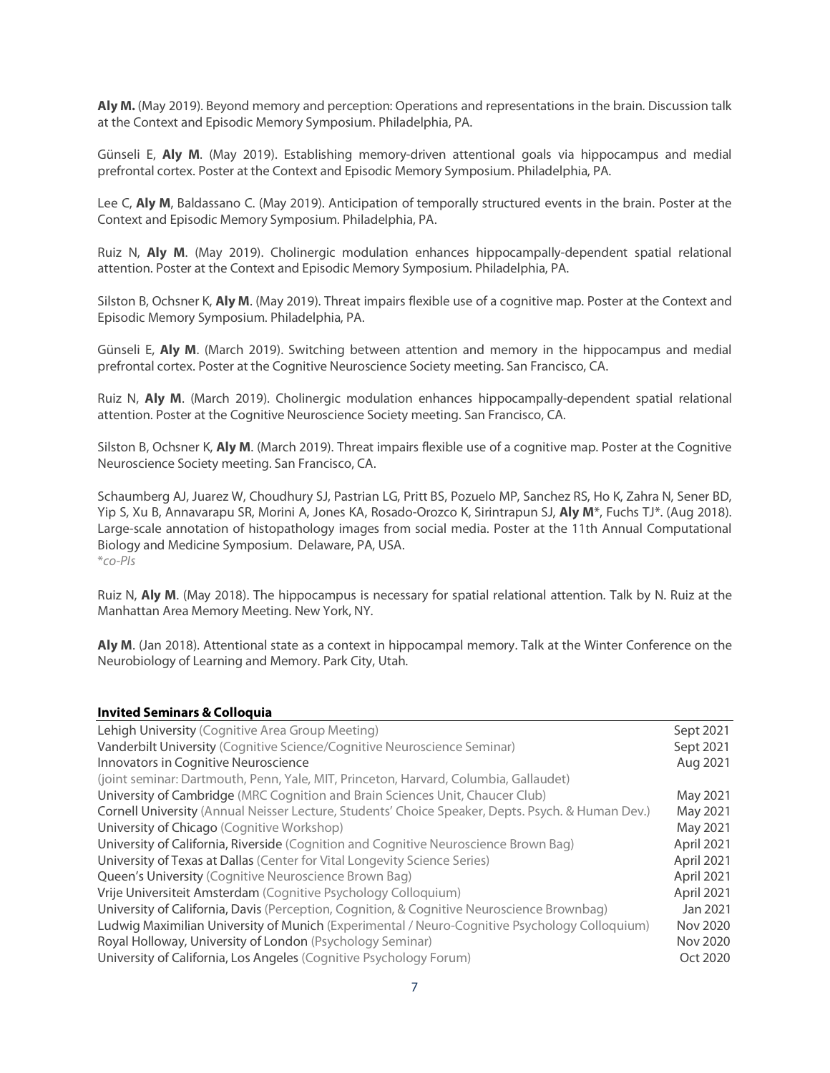**Aly M.** (May 2019). Beyond memory and perception: Operations and representations in the brain. Discussion talk at the Context and Episodic Memory Symposium. Philadelphia, PA.

Günseli E, **Aly M**. (May 2019). Establishing memory-driven attentional goals via hippocampus and medial prefrontal cortex. Poster at the Context and Episodic Memory Symposium. Philadelphia, PA.

Lee C, **Aly M**, Baldassano C. (May 2019). Anticipation of temporally structured events in the brain. Poster at the Context and Episodic Memory Symposium. Philadelphia, PA.

Ruiz N, **Aly M**. (May 2019). Cholinergic modulation enhances hippocampally-dependent spatial relational attention. Poster at the Context and Episodic Memory Symposium. Philadelphia, PA.

Silston B, Ochsner K, **Aly M**. (May 2019). Threat impairs flexible use of a cognitive map. Poster at the Context and Episodic Memory Symposium. Philadelphia, PA.

Günseli E, **Aly M**. (March 2019). Switching between attention and memory in the hippocampus and medial prefrontal cortex. Poster at the Cognitive Neuroscience Society meeting. San Francisco, CA.

Ruiz N, **Aly M**. (March 2019). Cholinergic modulation enhances hippocampally-dependent spatial relational attention. Poster at the Cognitive Neuroscience Society meeting. San Francisco, CA.

Silston B, Ochsner K, **Aly M**. (March 2019). Threat impairs flexible use of a cognitive map. Poster at the Cognitive Neuroscience Society meeting. San Francisco, CA.

Schaumberg AJ, Juarez W, Choudhury SJ, Pastrian LG, Pritt BS, Pozuelo MP, Sanchez RS, Ho K, Zahra N, Sener BD, Yip S, Xu B, Annavarapu SR, Morini A, Jones KA, Rosado-Orozco K, Sirintrapun SJ, **Aly M**\*, Fuchs TJ\*. (Aug 2018). Large-scale annotation of histopathology images from social media. Poster at the 11th Annual Computational Biology and Medicine Symposium. Delaware, PA, USA. \**co-PIs*

Ruiz N, **Aly M**. (May 2018). The hippocampus is necessary for spatial relational attention. Talk by N. Ruiz at the Manhattan Area Memory Meeting. New York, NY.

**Aly M**. (Jan 2018). Attentional state as a context in hippocampal memory. Talk at the Winter Conference on the Neurobiology of Learning and Memory. Park City, Utah.

#### **Invited Seminars & Colloquia**

| Lehigh University (Cognitive Area Group Meeting)                                                  | Sept 2021  |
|---------------------------------------------------------------------------------------------------|------------|
| Vanderbilt University (Cognitive Science/Cognitive Neuroscience Seminar)                          | Sept 2021  |
| Innovators in Cognitive Neuroscience                                                              | Aug 2021   |
| (joint seminar: Dartmouth, Penn, Yale, MIT, Princeton, Harvard, Columbia, Gallaudet)              |            |
| University of Cambridge (MRC Cognition and Brain Sciences Unit, Chaucer Club)                     | May 2021   |
| Cornell University (Annual Neisser Lecture, Students' Choice Speaker, Depts. Psych. & Human Dev.) | May 2021   |
| University of Chicago (Cognitive Workshop)                                                        | May 2021   |
| University of California, Riverside (Cognition and Cognitive Neuroscience Brown Bag)              | April 2021 |
| University of Texas at Dallas (Center for Vital Longevity Science Series)                         | April 2021 |
| Queen's University (Cognitive Neuroscience Brown Bag)                                             | April 2021 |
| Vrije Universiteit Amsterdam (Cognitive Psychology Colloquium)                                    | April 2021 |
| University of California, Davis (Perception, Cognition, & Cognitive Neuroscience Brownbag)        | Jan 2021   |
| Ludwig Maximilian University of Munich (Experimental / Neuro-Cognitive Psychology Colloquium)     | Nov 2020   |
| Royal Holloway, University of London (Psychology Seminar)                                         | Nov 2020   |
| University of California, Los Angeles (Cognitive Psychology Forum)                                | Oct 2020   |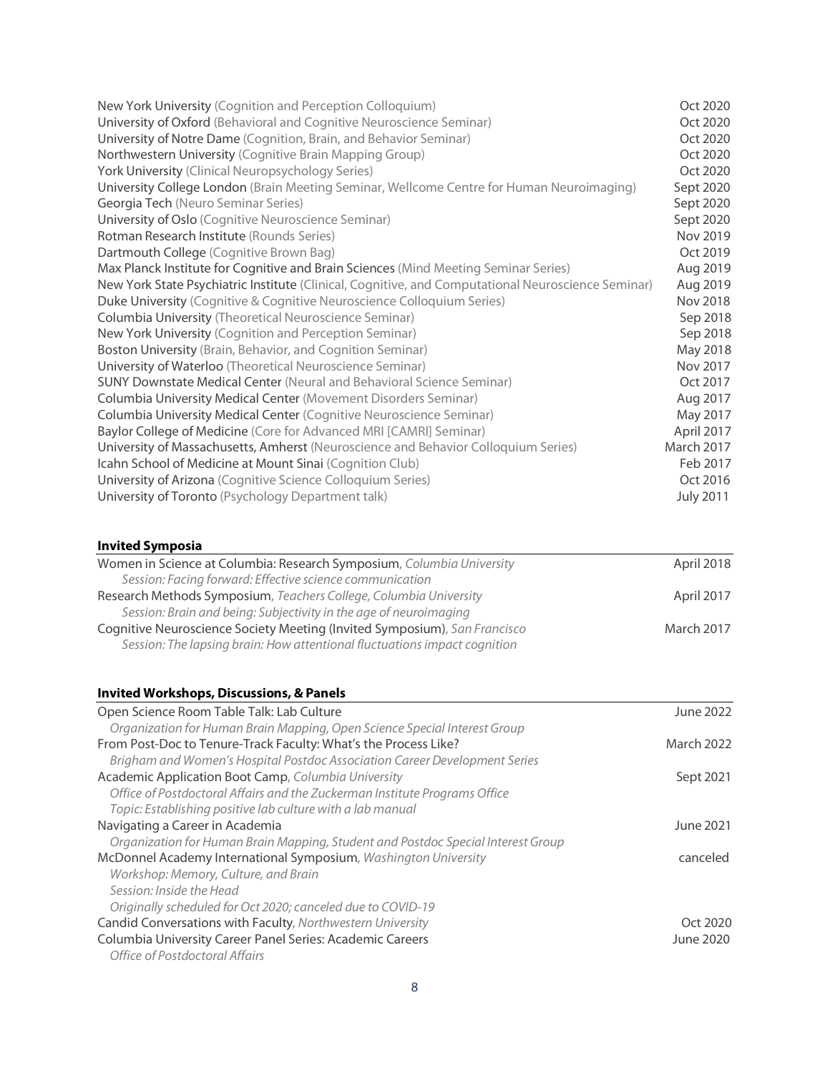| New York University (Cognition and Perception Colloquium)                                          | Oct 2020         |
|----------------------------------------------------------------------------------------------------|------------------|
| University of Oxford (Behavioral and Cognitive Neuroscience Seminar)                               | Oct 2020         |
| University of Notre Dame (Cognition, Brain, and Behavior Seminar)                                  | Oct 2020         |
| Northwestern University (Cognitive Brain Mapping Group)                                            | Oct 2020         |
| York University (Clinical Neuropsychology Series)                                                  | Oct 2020         |
| University College London (Brain Meeting Seminar, Wellcome Centre for Human Neuroimaging)          | Sept 2020        |
| Georgia Tech (Neuro Seminar Series)                                                                | Sept 2020        |
| University of Oslo (Cognitive Neuroscience Seminar)                                                | Sept 2020        |
| Rotman Research Institute (Rounds Series)                                                          | Nov 2019         |
| Dartmouth College (Cognitive Brown Bag)                                                            | Oct 2019         |
| Max Planck Institute for Cognitive and Brain Sciences (Mind Meeting Seminar Series)                | Aug 2019         |
| New York State Psychiatric Institute (Clinical, Cognitive, and Computational Neuroscience Seminar) | Aug 2019         |
| Duke University (Cognitive & Cognitive Neuroscience Colloquium Series)                             | <b>Nov 2018</b>  |
| Columbia University (Theoretical Neuroscience Seminar)                                             | Sep 2018         |
| New York University (Cognition and Perception Seminar)                                             | Sep 2018         |
| Boston University (Brain, Behavior, and Cognition Seminar)                                         | May 2018         |
| University of Waterloo (Theoretical Neuroscience Seminar)                                          | Nov 2017         |
| <b>SUNY Downstate Medical Center (Neural and Behavioral Science Seminar)</b>                       | Oct 2017         |
| Columbia University Medical Center (Movement Disorders Seminar)                                    | Aug 2017         |
| Columbia University Medical Center (Cognitive Neuroscience Seminar)                                | May 2017         |
| Baylor College of Medicine (Core for Advanced MRI [CAMRI] Seminar)                                 | April 2017       |
| University of Massachusetts, Amherst (Neuroscience and Behavior Colloquium Series)                 | March 2017       |
| Icahn School of Medicine at Mount Sinai (Cognition Club)                                           | Feb 2017         |
| University of Arizona (Cognitive Science Colloquium Series)                                        | Oct 2016         |
| University of Toronto (Psychology Department talk)                                                 | <b>July 2011</b> |
|                                                                                                    |                  |
|                                                                                                    |                  |
| <b>Invited Symposia</b>                                                                            |                  |

| Women in Science at Columbia: Research Symposium, Columbia University     | April 2018 |
|---------------------------------------------------------------------------|------------|
| Session: Facing forward: Effective science communication                  |            |
| Research Methods Symposium, Teachers College, Columbia University         | April 2017 |
| Session: Brain and being: Subjectivity in the age of neuroimaging         |            |
| Cognitive Neuroscience Society Meeting (Invited Symposium), San Francisco | March 2017 |
| Session: The lapsing brain: How attentional fluctuations impact cognition |            |

## **Invited Workshops, Discussions, & Panels**

| Open Science Room Table Talk: Lab Culture                                        | June 2022         |
|----------------------------------------------------------------------------------|-------------------|
| Organization for Human Brain Mapping, Open Science Special Interest Group        |                   |
| From Post-Doc to Tenure-Track Faculty: What's the Process Like?                  | <b>March 2022</b> |
| Brigham and Women's Hospital Postdoc Association Career Development Series       |                   |
| Academic Application Boot Camp, Columbia University                              | Sept 2021         |
| Office of Postdoctoral Affairs and the Zuckerman Institute Programs Office       |                   |
| Topic: Establishing positive lab culture with a lab manual                       |                   |
| Navigating a Career in Academia                                                  | June 2021         |
| Organization for Human Brain Mapping, Student and Postdoc Special Interest Group |                   |
| McDonnel Academy International Symposium, Washington University                  | canceled          |
| Workshop: Memory, Culture, and Brain                                             |                   |
| Session: Inside the Head                                                         |                   |
| Originally scheduled for Oct 2020; canceled due to COVID-19                      |                   |
| Candid Conversations with Faculty, Northwestern University                       | Oct 2020          |
| Columbia University Career Panel Series: Academic Careers                        | June 2020         |
| Office of Postdoctoral Affairs                                                   |                   |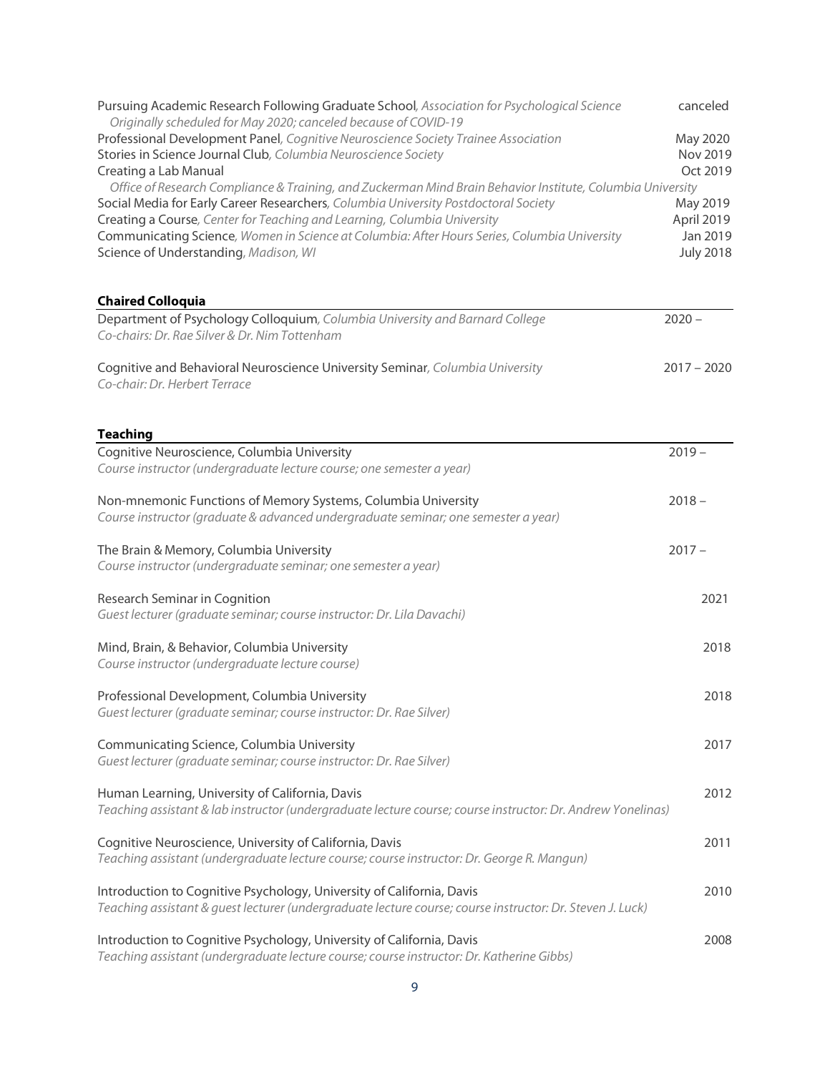| Pursuing Academic Research Following Graduate School, Association for Psychological Science<br>Originally scheduled for May 2020; canceled because of COVID-19                     |               | canceled         |
|------------------------------------------------------------------------------------------------------------------------------------------------------------------------------------|---------------|------------------|
| Professional Development Panel, Cognitive Neuroscience Society Trainee Association                                                                                                 |               | May 2020         |
| Stories in Science Journal Club, Columbia Neuroscience Society                                                                                                                     |               | Nov 2019         |
| Creating a Lab Manual                                                                                                                                                              |               | Oct 2019         |
| Office of Research Compliance & Training, and Zuckerman Mind Brain Behavior Institute, Columbia University                                                                         |               |                  |
| Social Media for Early Career Researchers, Columbia University Postdoctoral Society                                                                                                |               | May 2019         |
| Creating a Course, Center for Teaching and Learning, Columbia University                                                                                                           |               | April 2019       |
| Communicating Science, Women in Science at Columbia: After Hours Series, Columbia University                                                                                       |               | Jan 2019         |
| Science of Understanding, Madison, WI                                                                                                                                              |               | <b>July 2018</b> |
| <b>Chaired Colloquia</b>                                                                                                                                                           |               |                  |
| Department of Psychology Colloquium, Columbia University and Barnard College<br>Co-chairs: Dr. Rae Silver & Dr. Nim Tottenham                                                      | $2020 -$      |                  |
| Cognitive and Behavioral Neuroscience University Seminar, Columbia University<br>Co-chair: Dr. Herbert Terrace                                                                     | $2017 - 2020$ |                  |
| <b>Teaching</b>                                                                                                                                                                    |               |                  |
| Cognitive Neuroscience, Columbia University                                                                                                                                        | $2019 -$      |                  |
| Course instructor (undergraduate lecture course; one semester a year)                                                                                                              |               |                  |
| Non-mnemonic Functions of Memory Systems, Columbia University<br>Course instructor (graduate & advanced undergraduate seminar; one semester a year)                                | $2018 -$      |                  |
| The Brain & Memory, Columbia University                                                                                                                                            | $2017 -$      |                  |
| Course instructor (undergraduate seminar; one semester a year)                                                                                                                     |               |                  |
| Research Seminar in Cognition<br>Guest lecturer (graduate seminar; course instructor: Dr. Lila Davachi)                                                                            |               | 2021             |
| Mind, Brain, & Behavior, Columbia University<br>Course instructor (undergraduate lecture course)                                                                                   |               | 2018             |
| Professional Development, Columbia University                                                                                                                                      |               | 2018             |
| Guest lecturer (graduate seminar; course instructor: Dr. Rae Silver)                                                                                                               |               |                  |
| Communicating Science, Columbia University<br>Guest lecturer (graduate seminar; course instructor: Dr. Rae Silver)                                                                 |               | 2017             |
| Human Learning, University of California, Davis<br>Teaching assistant & lab instructor (undergraduate lecture course; course instructor: Dr. Andrew Yonelinas)                     |               | 2012             |
| Cognitive Neuroscience, University of California, Davis<br>Teaching assistant (undergraduate lecture course; course instructor: Dr. George R. Mangun)                              |               | 2011             |
| Introduction to Cognitive Psychology, University of California, Davis<br>Teaching assistant & guest lecturer (undergraduate lecture course; course instructor: Dr. Steven J. Luck) |               | 2010             |
| Introduction to Cognitive Psychology, University of California, Davis<br>Teaching assistant (undergraduate lecture course; course instructor: Dr. Katherine Gibbs)                 |               | 2008             |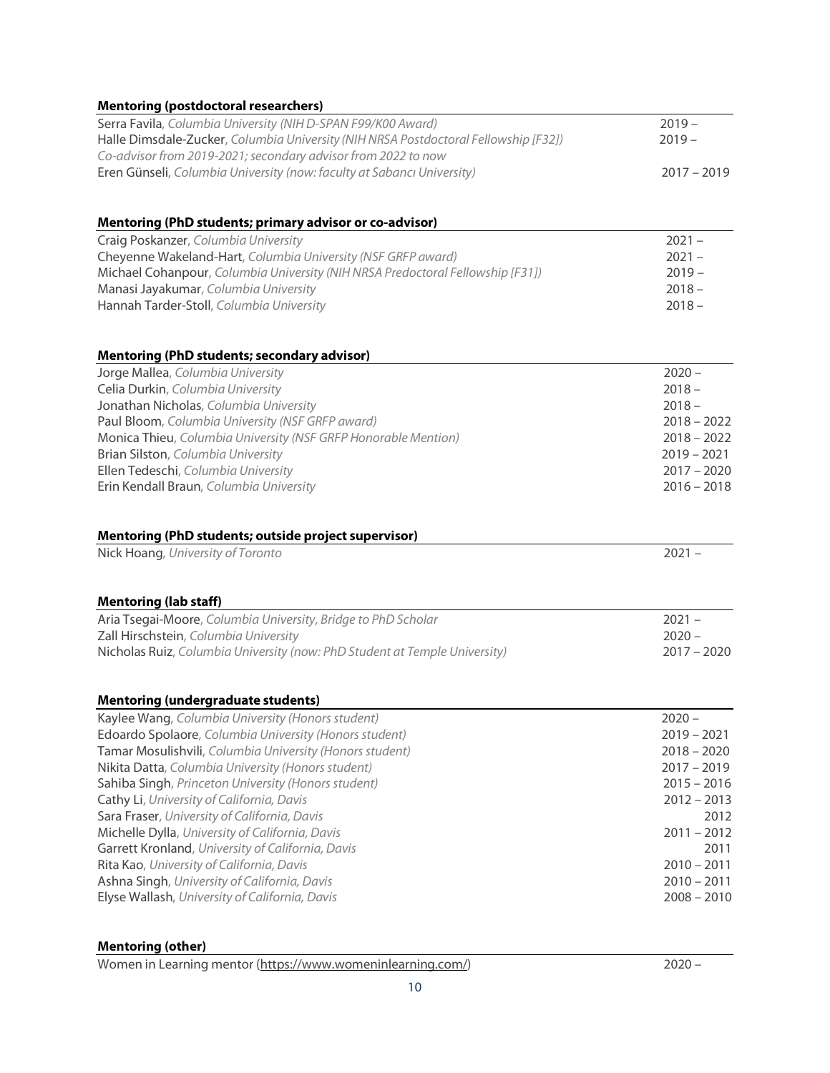| <b>Mentoring (postdoctoral researchers)</b>                                         |               |
|-------------------------------------------------------------------------------------|---------------|
| Serra Favila, Columbia University (NIH D-SPAN F99/K00 Award)                        | $2019 -$      |
| Halle Dimsdale-Zucker, Columbia University (NIH NRSA Postdoctoral Fellowship [F32]) | $2019 -$      |
| Co-advisor from 2019-2021; secondary advisor from 2022 to now                       |               |
| Eren Günseli, Columbia University (now: faculty at Sabancı University)              | $2017 - 2019$ |
| Mentoring (PhD students; primary advisor or co-advisor)                             |               |
| Craig Poskanzer, Columbia University                                                | $2021 -$      |
| Cheyenne Wakeland-Hart, Columbia University (NSF GRFP award)                        | $2021 -$      |
| Michael Cohanpour, Columbia University (NIH NRSA Predoctoral Fellowship [F31])      | $2019 -$      |
| Manasi Jayakumar, Columbia University                                               | $2018 -$      |
| Hannah Tarder-Stoll, Columbia University                                            | $2018 -$      |
| <b>Mentoring (PhD students; secondary advisor)</b>                                  |               |
| Jorge Mallea, Columbia University                                                   | $2020 -$      |
| Celia Durkin, Columbia University                                                   | $2018 -$      |
| Jonathan Nicholas, Columbia University                                              | $2018 -$      |
| Paul Bloom, Columbia University (NSF GRFP award)                                    | $2018 - 2022$ |
| Monica Thieu, Columbia University (NSF GRFP Honorable Mention)                      | $2018 - 2022$ |
| Brian Silston, Columbia University                                                  | $2019 - 2021$ |
| Ellen Tedeschi, Columbia University                                                 | $2017 - 2020$ |
| Erin Kendall Braun, Columbia University                                             | $2016 - 2018$ |
| Mentoring (PhD students; outside project supervisor)                                |               |
| Nick Hoang, University of Toronto                                                   | $2021 -$      |
| <b>Mentoring (lab staff)</b>                                                        |               |
| Aria Tsegai-Moore, Columbia University, Bridge to PhD Scholar                       | $2021 -$      |
| Zall Hirschstein, Columbia University                                               | $2020 -$      |
| Nicholas Ruiz, Columbia University (now: PhD Student at Temple University)          | $2017 - 2020$ |
| <b>Mentoring (undergraduate students)</b>                                           |               |
| Kaylee Wang, Columbia University (Honors student)                                   | $2020 -$      |
| Edoardo Spolaore, Columbia University (Honors student)                              | $2019 - 2021$ |
| Tamar Mosulishvili, Columbia University (Honors student)                            | $2018 - 2020$ |
| Nikita Datta, Columbia University (Honors student)                                  | $2017 - 2019$ |
| Sahiba Singh, Princeton University (Honors student)                                 | $2015 - 2016$ |
| Cathy Li, University of California, Davis                                           | $2012 - 2013$ |
| Sara Fraser, University of California, Davis                                        | 2012          |
| Michelle Dylla, University of California, Davis                                     | $2011 - 2012$ |
| Garrett Kronland, University of California, Davis                                   | 2011          |
| Rita Kao, University of California, Davis                                           | $2010 - 2011$ |
| Ashna Singh, University of California, Davis                                        | $2010 - 2011$ |
| Elyse Wallash, University of California, Davis                                      | $2008 - 2010$ |

## **Mentoring (other)**

Women in Learning mentor (https://www.womeninlearning.com/)2020 –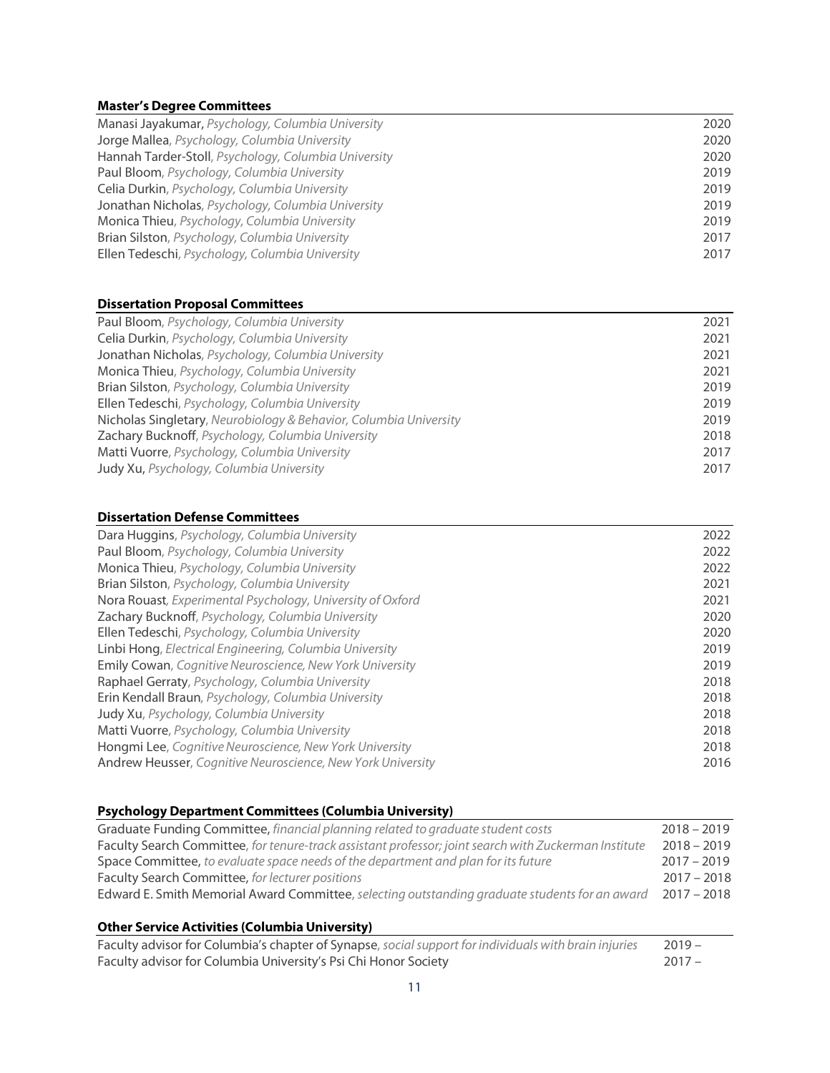## **Master's Degree Committees**

| Manasi Jayakumar, Psychology, Columbia University    | 2020 |
|------------------------------------------------------|------|
| Jorge Mallea, Psychology, Columbia University        | 2020 |
| Hannah Tarder-Stoll, Psychology, Columbia University | 2020 |
| Paul Bloom, Psychology, Columbia University          | 2019 |
| Celia Durkin, Psychology, Columbia University        | 2019 |
| Jonathan Nicholas, Psychology, Columbia University   | 2019 |
| Monica Thieu, Psychology, Columbia University        | 2019 |
| Brian Silston, Psychology, Columbia University       | 2017 |
| Ellen Tedeschi, Psychology, Columbia University      | 2017 |

## **Dissertation Proposal Committees**

| 2021 |
|------|
| 2021 |
| 2021 |
| 2021 |
| 2019 |
| 2019 |
| 2019 |
| 2018 |
| 2017 |
| 2017 |
|      |

## **Dissertation Defense Committees**

| Dara Huggins, Psychology, Columbia University                   | 2022 |
|-----------------------------------------------------------------|------|
| Paul Bloom, Psychology, Columbia University                     | 2022 |
| Monica Thieu, Psychology, Columbia University                   | 2022 |
| Brian Silston, Psychology, Columbia University                  | 2021 |
| Nora Rouast, Experimental Psychology, University of Oxford      | 2021 |
| Zachary Bucknoff, Psychology, Columbia University               | 2020 |
| Ellen Tedeschi, Psychology, Columbia University                 | 2020 |
| Linbi Hong, Electrical Engineering, Columbia University         | 2019 |
| <b>Emily Cowan, Cognitive Neuroscience, New York University</b> | 2019 |
| Raphael Gerraty, Psychology, Columbia University                | 2018 |
| Erin Kendall Braun, Psychology, Columbia University             | 2018 |
| Judy Xu, Psychology, Columbia University                        | 2018 |
| Matti Vuorre, Psychology, Columbia University                   | 2018 |
| Hongmi Lee, Cognitive Neuroscience, New York University         | 2018 |
| Andrew Heusser, Cognitive Neuroscience, New York University     | 2016 |
|                                                                 |      |

## **Psychology Department Committees (Columbia University)**

| Graduate Funding Committee, financial planning related to graduate student costs                      | $2018 - 2019$ |
|-------------------------------------------------------------------------------------------------------|---------------|
| Faculty Search Committee, for tenure-track assistant professor; joint search with Zuckerman Institute | $2018 - 2019$ |
| Space Committee, to evaluate space needs of the department and plan for its future                    | $2017 - 2019$ |
| Faculty Search Committee, for lecturer positions                                                      | $2017 - 2018$ |
| Edward E. Smith Memorial Award Committee, selecting outstanding graduate students for an award        | $2017 - 2018$ |
|                                                                                                       |               |

## **Other Service Activities (Columbia University)**

| Faculty advisor for Columbia's chapter of Synapse, social support for individuals with brain injuries | $2019 -$ |
|-------------------------------------------------------------------------------------------------------|----------|
| Faculty advisor for Columbia University's Psi Chi Honor Society                                       | $2017 -$ |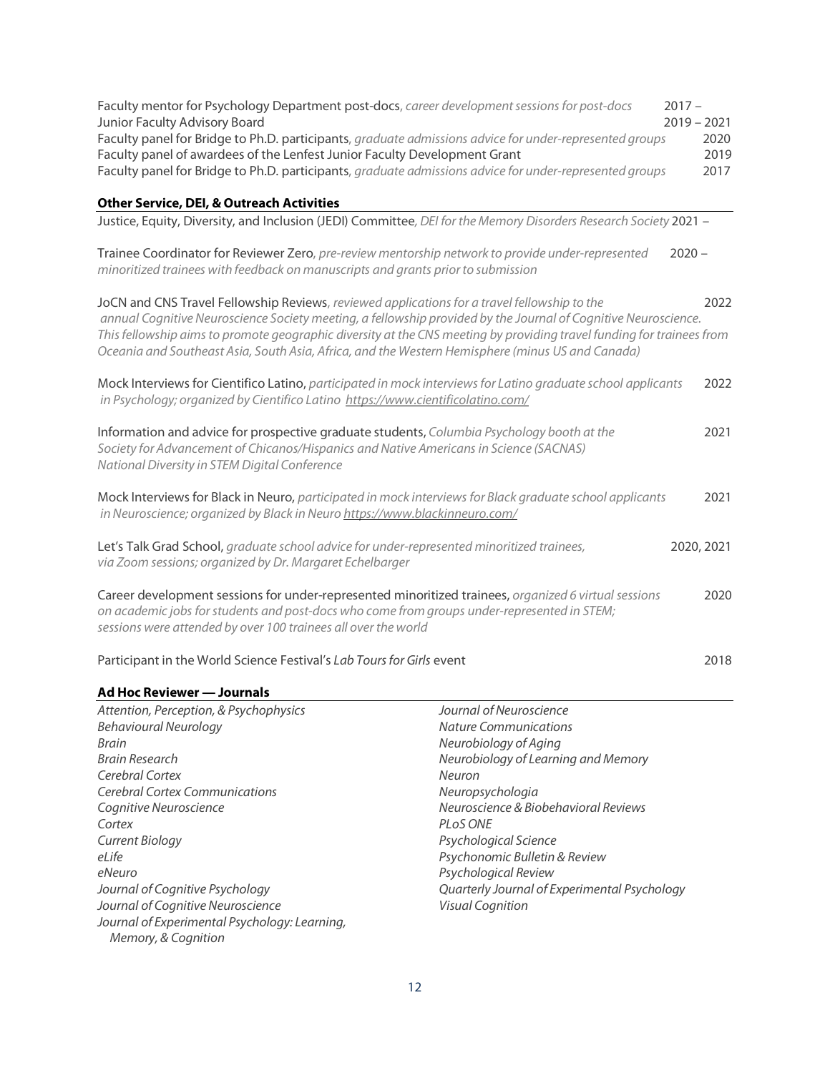| Faculty mentor for Psychology Department post-docs, career development sessions for post-docs<br>Junior Faculty Advisory Board<br>Faculty panel for Bridge to Ph.D. participants, graduate admissions advice for under-represented groups<br>Faculty panel of awardees of the Lenfest Junior Faculty Development Grant<br>Faculty panel for Bridge to Ph.D. participants, graduate admissions advice for under-represented groups           | $2017 -$<br>$2019 - 2021$<br>2020<br>2019<br>2017 |
|---------------------------------------------------------------------------------------------------------------------------------------------------------------------------------------------------------------------------------------------------------------------------------------------------------------------------------------------------------------------------------------------------------------------------------------------|---------------------------------------------------|
| <b>Other Service, DEI, &amp; Outreach Activities</b>                                                                                                                                                                                                                                                                                                                                                                                        |                                                   |
| Justice, Equity, Diversity, and Inclusion (JEDI) Committee, DEI for the Memory Disorders Research Society 2021 -                                                                                                                                                                                                                                                                                                                            |                                                   |
| Trainee Coordinator for Reviewer Zero, pre-review mentorship network to provide under-represented<br>minoritized trainees with feedback on manuscripts and grants prior to submission                                                                                                                                                                                                                                                       | $2020 -$                                          |
| JoCN and CNS Travel Fellowship Reviews, reviewed applications for a travel fellowship to the<br>annual Cognitive Neuroscience Society meeting, a fellowship provided by the Journal of Cognitive Neuroscience.<br>This fellowship aims to promote geographic diversity at the CNS meeting by providing travel funding for trainees from<br>Oceania and Southeast Asia, South Asia, Africa, and the Western Hemisphere (minus US and Canada) | 2022                                              |
| Mock Interviews for Cientifico Latino, participated in mock interviews for Latino graduate school applicants<br>in Psychology; organized by Cientifico Latino https://www.cientificolatino.com/                                                                                                                                                                                                                                             | 2022                                              |
| Information and advice for prospective graduate students, Columbia Psychology booth at the<br>Society for Advancement of Chicanos/Hispanics and Native Americans in Science (SACNAS)<br>National Diversity in STEM Digital Conference                                                                                                                                                                                                       | 2021                                              |
| Mock Interviews for Black in Neuro, participated in mock interviews for Black graduate school applicants<br>in Neuroscience; organized by Black in Neuro https://www.blackinneuro.com/                                                                                                                                                                                                                                                      | 2021                                              |
| Let's Talk Grad School, graduate school advice for under-represented minoritized trainees,<br>via Zoom sessions; organized by Dr. Margaret Echelbarger                                                                                                                                                                                                                                                                                      | 2020, 2021                                        |
| Career development sessions for under-represented minoritized trainees, organized 6 virtual sessions<br>on academic jobs for students and post-docs who come from groups under-represented in STEM;<br>sessions were attended by over 100 trainees all over the world                                                                                                                                                                       | 2020                                              |
| Participant in the World Science Festival's Lab Tours for Girls event                                                                                                                                                                                                                                                                                                                                                                       | 2018                                              |

| Ad Hoc Reviewer - Journals                    |                                              |
|-----------------------------------------------|----------------------------------------------|
| Attention, Perception, & Psychophysics        | Journal of Neuroscience                      |
| <b>Behavioural Neurology</b>                  | <b>Nature Communications</b>                 |
| Brain                                         | Neurobiology of Aging                        |
| Brain Research                                | Neurobiology of Learning and Memory          |
| Cerebral Cortex                               | Neuron                                       |
| <b>Cerebral Cortex Communications</b>         | Neuropsychologia                             |
| Cognitive Neuroscience                        | Neuroscience & Biobehavioral Reviews         |
| Cortex                                        | PLOS ONE                                     |
| <b>Current Biology</b>                        | Psychological Science                        |
| eLife                                         | Psychonomic Bulletin & Review                |
| eNeuro                                        | Psychological Review                         |
| Journal of Cognitive Psychology               | Quarterly Journal of Experimental Psychology |
| Journal of Cognitive Neuroscience             | <b>Visual Cognition</b>                      |
| Journal of Experimental Psychology: Learning, |                                              |
| Memory, & Cognition                           |                                              |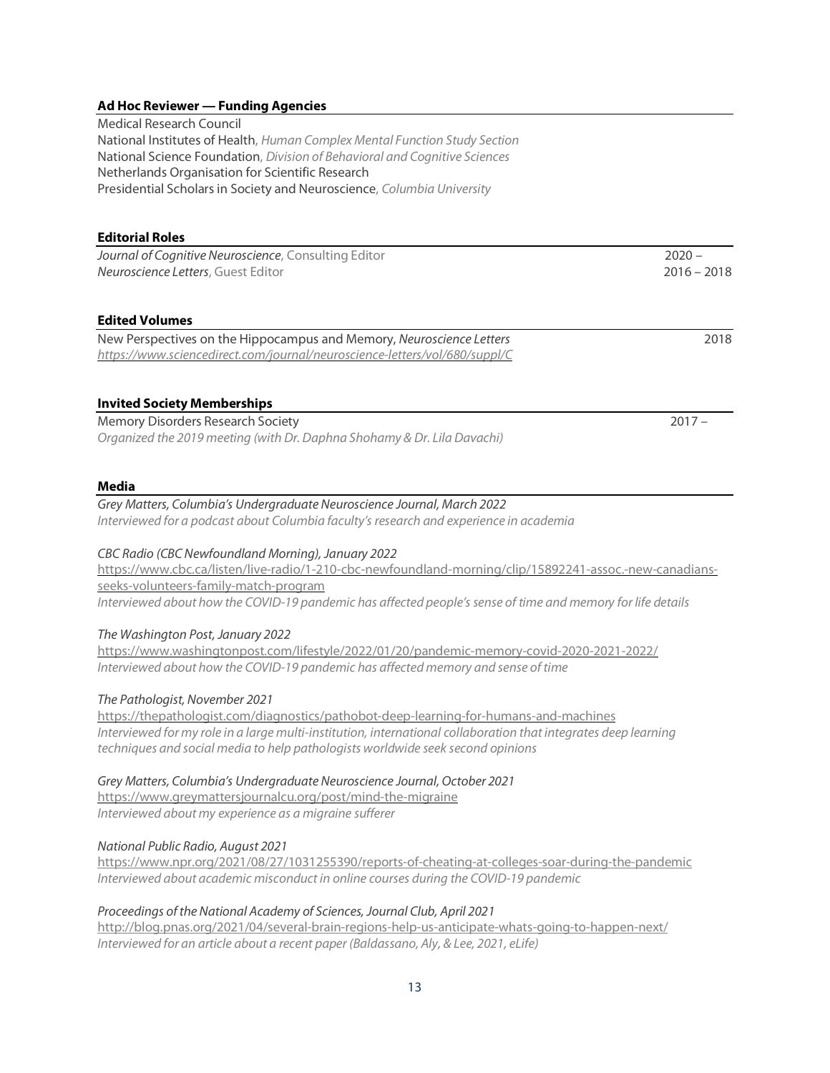### **Ad Hoc Reviewer — Funding Agencies**

Medical Research Council National Institutes of Health, *Human Complex Mental Function Study Section* National Science Foundation, *Division of Behavioral and Cognitive Sciences* Netherlands Organisation for Scientific Research Presidential Scholars in Society and Neuroscience, *Columbia University*

#### **Editorial Roles**

*Journal of Cognitive Neuroscience*, Consulting Editor 2020 – *Neuroscience Letters*, Guest Editor 2016 – 2018

### **Edited Volumes**

| New Perspectives on the Hippocampus and Memory, Neuroscience Letters       | 2018 |
|----------------------------------------------------------------------------|------|
| https://www.sciencedirect.com/journal/neuroscience-letters/vol/680/suppl/C |      |

### **Invited Society Memberships**

Memory Disorders Research Society 2017 – *Organized the 2019 meeting (with Dr. Daphna Shohamy & Dr. Lila Davachi)*

#### **Media**

*Grey Matters, Columbia's Undergraduate Neuroscience Journal, March 2022 Interviewed for a podcast about Columbia faculty's research and experience in academia*

### *CBC Radio (CBC Newfoundland Morning), January 2022*

https://www.cbc.ca/listen/live-radio/1-210-cbc-newfoundland-morning/clip/15892241-assoc.-new-canadiansseeks-volunteers-family-match-program *Interviewed about how the COVID-19 pandemic has affected people's sense of time and memory forlife details*

### *The Washington Post, January 2022*

https://www.washingtonpost.com/lifestyle/2022/01/20/pandemic-memory-covid-2020-2021-2022/ *Interviewed about how the COVID-19 pandemic has affected memory and sense of time*

### *The Pathologist, November 2021*

https://thepathologist.com/diagnostics/pathobot-deep-learning-for-humans-and-machines *Interviewed for my role in a large multi-institution, international collaboration that integrates deep learning techniques and social media to help pathologists worldwide seek second opinions*

### *Grey Matters, Columbia's Undergraduate Neuroscience Journal, October 2021*

https://www.greymattersjournalcu.org/post/mind-the-migraine *Interviewed about my experience as a migraine sufferer*

### *National Public Radio, August 2021*

https://www.npr.org/2021/08/27/1031255390/reports-of-cheating-at-colleges-soar-during-the-pandemic *Interviewed about academic misconduct in online courses during the COVID-19 pandemic*

### *Proceedings of the National Academy of Sciences, Journal Club, April 2021*

http://blog.pnas.org/2021/04/several-brain-regions-help-us-anticipate-whats-going-to-happen-next/ *Interviewed for an article about a recent paper (Baldassano, Aly, & Lee, 2021, eLife)*